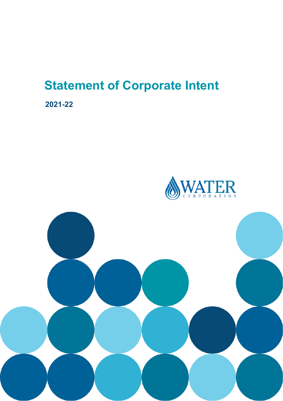# **Statement of Corporate Intent**

**2021-22**



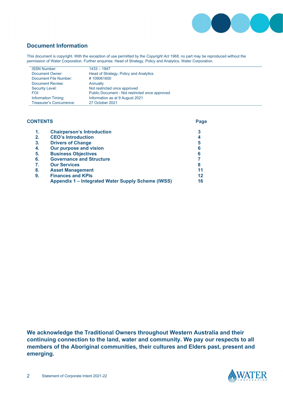

## **Document Information**

This document is copyright. With the exception of use permitted by the *Copyright Act 1968*, no part may be reproduced without the permission of Water Corporation. Further enquiries: Head of Strategy, Policy and Analytics, Water Corporation.

| <b>ISSN Number:</b>        | $1433 - 1947$                                  |
|----------------------------|------------------------------------------------|
| Document Owner:            | Head of Strategy, Policy and Analytics         |
| Document File Number:      | #109061600                                     |
| Document Review:           | Annually                                       |
| Security Level:            | Not restricted once approved                   |
| FOI:                       | Public Document - Not restricted once approved |
| <b>Information Timing:</b> | Information as at 9 August 2021                |
| Treasurer's Concurrence:   | 27 October 2021                                |

| <b>CONTENTS</b> |                                                    | Page |
|-----------------|----------------------------------------------------|------|
| 1.              | <b>Chairperson's Introduction</b>                  | 3    |
| 2.              | <b>CEO's Introduction</b>                          | 4    |
| 3.              | <b>Drivers of Change</b>                           | 5    |
| 4.              | Our purpose and vision                             | 6    |
| 5.              | <b>Business Objectives</b>                         | 6    |
| 6.              | <b>Governance and Structure</b>                    |      |
| 7.              | <b>Our Services</b>                                | 8    |
| 8.              | <b>Asset Management</b>                            | 11   |
| 9.              | <b>Finances and KPIs</b>                           | 12   |
|                 | Appendix 1 - Integrated Water Supply Scheme (IWSS) | 16   |

**We acknowledge the Traditional Owners throughout Western Australia and their continuing connection to the land, water and community. We pay our respects to all members of the Aboriginal communities, their cultures and Elders past, present and emerging.** 

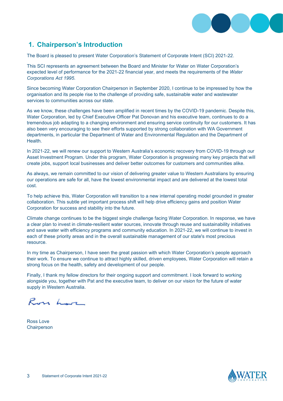

# **1. Chairperson's Introduction**

The Board is pleased to present Water Corporation's Statement of Corporate Intent (SCI) 2021-22.

This SCI represents an agreement between the Board and Minister for Water on Water Corporation's expected level of performance for the 2021-22 financial year, and meets the requirements of the *Water Corporations Act 1995*.

Since becoming Water Corporation Chairperson in September 2020, I continue to be impressed by how the organisation and its people rise to the challenge of providing safe, sustainable water and wastewater services to communities across our state.

As we know, these challenges have been amplified in recent times by the COVID-19 pandemic. Despite this, Water Corporation, led by Chief Executive Officer Pat Donovan and his executive team, continues to do a tremendous job adapting to a changing environment and ensuring service continuity for our customers. It has also been very encouraging to see their efforts supported by strong collaboration with WA Government departments, in particular the Department of Water and Environmental Regulation and the Department of **Health** 

In 2021-22, we will renew our support to Western Australia's economic recovery from COVID-19 through our Asset Investment Program. Under this program, Water Corporation is progressing many key projects that will create jobs, support local businesses and deliver better outcomes for customers and communities alike.

As always, we remain committed to our vision of delivering greater value to Western Australians by ensuring our operations are safe for all, have the lowest environmental impact and are delivered at the lowest total cost.

To help achieve this, Water Corporation will transition to a new internal operating model grounded in greater collaboration. This subtle yet important process shift will help drive efficiency gains and position Water Corporation for success and stability into the future.

Climate change continues to be the biggest single challenge facing Water Corporation. In response, we have a clear plan to invest in climate-resilient water sources, innovate through reuse and sustainability initiatives and save water with efficiency programs and community education. In 2021-22, we will continue to invest in each of these priority areas and in the overall sustainable management of our state's most precious resource.

In my time as Chairperson, I have seen the great passion with which Water Corporation's people approach their work. To ensure we continue to attract highly skilled, driven employees, Water Corporation will retain a strong focus on the health, safety and development of our people.

Finally, I thank my fellow directors for their ongoing support and commitment. I look forward to working alongside you, together with Pat and the executive team, to deliver on our vision for the future of water supply in Western Australia.

Ross Lor

Ross Love **Chairperson** 

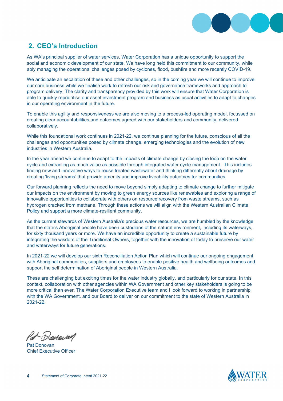

# **2. CEO's Introduction**

As WA's principal supplier of water services, Water Corporation has a unique opportunity to support the social and economic development of our state. We have long held this commitment to our community, while ably managing the operational challenges posed by cyclones, flood, bushfire and more recently COVID-19.

We anticipate an escalation of these and other challenges, so in the coming year we will continue to improve our core business while we finalise work to refresh our risk and governance frameworks and approach to program delivery. The clarity and transparency provided by this work will ensure that Water Corporation is able to quickly reprioritise our asset investment program and business as usual activities to adapt to changes in our operating environment in the future.

To enable this agility and responsiveness we are also moving to a process-led operating model, focussed on creating clear accountabilities and outcomes agreed with our stakeholders and community, delivered collaboratively.

While this foundational work continues in 2021-22, we continue planning for the future, conscious of all the challenges and opportunities posed by climate change, emerging technologies and the evolution of new industries in Western Australia.

In the year ahead we continue to adapt to the impacts of climate change by closing the loop on the water cycle and extracting as much value as possible through integrated water cycle management. This includes finding new and innovative ways to reuse treated wastewater and thinking differently about drainage by creating 'living streams' that provide amenity and improve liveability outcomes for communities.

Our forward planning reflects the need to move beyond simply adapting to climate change to further mitigate our impacts on the environment by moving to green energy sources like renewables and exploring a range of innovative opportunities to collaborate with others on resource recovery from waste streams, such as hydrogen cracked from methane. Through these actions we will align with the Western Australian Climate Policy and support a more climate-resilient community.

As the current stewards of Western Australia's precious water resources, we are humbled by the knowledge that the state's Aboriginal people have been custodians of the natural environment, including its waterways, for sixty thousand years or more. We have an incredible opportunity to create a sustainable future by integrating the wisdom of the Traditional Owners, together with the innovation of today to preserve our water and waterways for future generations.

In 2021-22 we will develop our sixth Reconciliation Action Plan which will continue our ongoing engagement with Aboriginal communities, suppliers and employees to enable positive health and wellbeing outcomes and support the self determination of Aboriginal people in Western Australia.

These are challenging but exciting times for the water industry globally, and particularly for our state. In this context, collaboration with other agencies within WA Government and other key stakeholders is going to be more critical than ever. The Water Corporation Executive team and I look forward to working in partnership with the WA Government, and our Board to deliver on our commitment to the state of Western Australia in 2021-22.

Sepera

Pat Donovan Chief Executive Officer

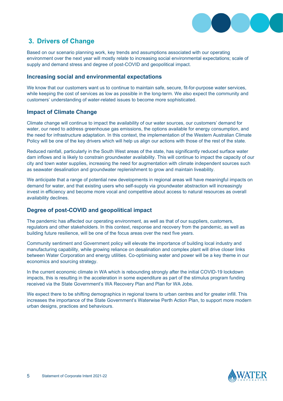

# **3. Drivers of Change**

Based on our scenario planning work, key trends and assumptions associated with our operating environment over the next year will mostly relate to increasing social environmental expectations; scale of supply and demand stress and degree of post-COVID and geopolitical impact.

#### **Increasing social and environmental expectations**

We know that our customers want us to continue to maintain safe, secure, fit-for-purpose water services, while keeping the cost of services as low as possible in the long-term. We also expect the community and customers' understanding of water-related issues to become more sophisticated.

#### **Impact of Climate Change**

Climate change will continue to impact the availability of our water sources, our customers' demand for water, our need to address greenhouse gas emissions, the options available for energy consumption, and the need for infrastructure adaptation. In this context, the implementation of the Western Australian Climate Policy will be one of the key drivers which will help us align our actions with those of the rest of the state.

Reduced rainfall, particularly in the South West areas of the state, has significantly reduced surface water dam inflows and is likely to constrain groundwater availability. This will continue to impact the capacity of our city and town water supplies, increasing the need for augmentation with climate independent sources such as seawater desalination and groundwater replenishment to grow and maintain liveability.

We anticipate that a range of potential new developments in regional areas will have meaningful impacts on demand for water, and that existing users who self-supply via groundwater abstraction will increasingly invest in efficiency and become more vocal and competitive about access to natural resources as overall availability declines.

#### **Degree of post-COVID and geopolitical impact**

The pandemic has affected our operating environment, as well as that of our suppliers, customers, regulators and other stakeholders. In this context, response and recovery from the pandemic, as well as building future resilience, will be one of the focus areas over the next five years.

Community sentiment and Government policy will elevate the importance of building local industry and manufacturing capability, while growing reliance on desalination and complex plant will drive closer links between Water Corporation and energy utilities. Co-optimising water and power will be a key theme in our economics and sourcing strategy.

In the current economic climate in WA which is rebounding strongly after the initial COVID-19 lockdown impacts, this is resulting in the acceleration in some expenditure as part of the stimulus program funding received via the State Government's WA Recovery Plan and Plan for WA Jobs.

We expect there to be shifting demographics in regional towns to urban centres and for greater infill. This increases the importance of the State Government's Waterwise Perth Action Plan, to support more modern urban designs, practices and behaviours.

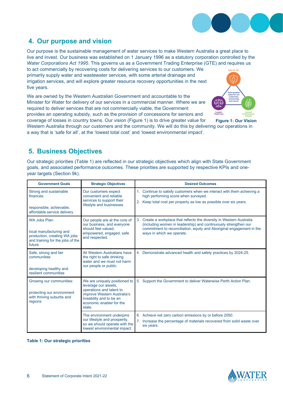

## **4. Our purpose and vision**

Our purpose is the sustainable management of water services to make Western Australia a great place to live and invest. Our business was established on 1 January 1996 as a statutory corporation controlled by the *Water Corporations Act 1995*. This governs us as a Government Trading Enterprise (GTE) and requires us

to act commercially by recovering costs for delivering services to our customers. We primarily supply water and wastewater services, with some arterial drainage and irrigation services, and will explore greater resource recovery opportunities in the next five years.

We are owned by the Western Australian Government and accountable to the Minister for Water for delivery of our services in a commercial manner. Where we are required to deliver services that are not commercially viable, the Government provides an operating subsidy, such as the provision of concessions for seniors and coverage of losses in country towns. Our vision (Figure 1) is to drive greater value for



**Figure 1: Our Vision**

Western Australia through our customers and the community. We will do this by delivering our operations in a way that is 'safe for all', at the 'lowest total cost' and 'lowest environmental impact'.

# **5. Business Objectives**

Our strategic priorities (Table 1) are reflected in our strategic objectives which align with State Government goals, and associated performance outcomes. These priorities are supported by respective KPIs and oneyear targets (Section 9k).

| <b>Government Goals</b>                                                                                                | <b>Strategic Objectives</b>                                                                                                                                                        | <b>Desired Outcomes</b>                                                                                                                                                                                                                         |  |  |
|------------------------------------------------------------------------------------------------------------------------|------------------------------------------------------------------------------------------------------------------------------------------------------------------------------------|-------------------------------------------------------------------------------------------------------------------------------------------------------------------------------------------------------------------------------------------------|--|--|
| Strong and sustainable<br>finances:<br>responsible, achievable,<br>affordable service delivery                         | Our customers expect<br>convenient and reliable<br>services to support their<br>lifestyle and businesses.                                                                          | 1. Continue to satisfy customers when we interact with them achieving a<br>high performing score when surveyed.<br>2. Keep total cost per property as low as possible over six years.                                                           |  |  |
| WA Jobs Plan:<br>local manufacturing and<br>production, creating WA jobs<br>and training for the jobs of the<br>future | Our people are at the core of<br>our business, and everyone<br>should feel valued.<br>empowered, engaged, safe<br>and respected.                                                   | 3. Create a workplace that reflects the diversity in Western Australia<br>(including women in leadership) and continuously strengthen our<br>commitment to reconciliation, equity and Aboriginal engagement in the<br>ways in which we operate. |  |  |
| Safe, strong and fair<br>communities:<br>developing healthy and<br>resilient communities                               | All Western Australians have<br>the right to safe drinking<br>water and we must not harm<br>our people or public.                                                                  | 4. Demonstrate advanced health and safety practices by 2024-25.                                                                                                                                                                                 |  |  |
| Growing our communities:<br>protecting our environment<br>with thriving suburbs and<br>regions                         | We are uniquely positioned to<br>leverage our assets,<br>operations and talent to<br>improve Western Australia's<br>liveability and to be an<br>economic enabler for the<br>state. | 5. Support the Government to deliver Waterwise Perth Action Plan.                                                                                                                                                                               |  |  |
|                                                                                                                        | The environment underpins<br>our lifestyle and prosperity,<br>so we should operate with the<br>lowest environmental impact.                                                        | 6. Achieve net zero carbon emissions by or before 2050.<br>7. Increase the percentage of materials recovered from solid waste over<br>six years.                                                                                                |  |  |

**Table 1: Our strategic priorities**

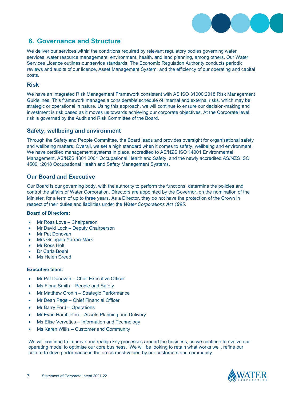

## **6. Governance and Structure**

We deliver our services within the conditions required by relevant requlatory bodies governing water services, water resource management, environment, health, and land planning, among others. Our Water Services Licence outlines our service standards. The Economic Regulation Authority conducts periodic reviews and audits of our licence, Asset Management System, and the efficiency of our operating and capital costs.

#### **Risk**

We have an integrated Risk Management Framework consistent with AS ISO 31000:2018 Risk Management Guidelines. This framework manages a considerable schedule of internal and external risks, which may be strategic or operational in nature. Using this approach, we will continue to ensure our decision-making and investment is risk based as it moves us towards achieving our corporate objectives. At the Corporate level, risk is governed by the Audit and Risk Committee of the Board.

#### **Safety, wellbeing and environment**

Through the Safety and People Committee, the Board leads and provides oversight for organisational safety and wellbeing matters. Overall, we set a high standard when it comes to safety, wellbeing and environment. We have certified management systems in place, accredited to AS/NZS ISO 14001 Environmental Management, AS/NZS 4801:2001 Occupational Health and Safety, and the newly accredited AS/NZS ISO 45001:2018 Occupational Health and Safety Management Systems.

#### **Our Board and Executive**

Our Board is our governing body, with the authority to perform the functions, determine the policies and control the affairs of Water Corporation. Directors are appointed by the Governor, on the nomination of the Minister, for a term of up to three years. As a Director, they do not have the protection of the Crown in respect of their duties and liabilities under the *Water Corporations Act 1995*.

#### **Board of Directors:**

- Mr Ross Love Chairperson
- Mr David Lock Deputy Chairperson
- **Mr Pat Donovan**
- Mrs Gningala Yarran-Mark
- **Mr Ross Holt**
- Dr Carla Boehl
- Ms Helen Creed

#### **Executive team:**

- Mr Pat Donovan Chief Executive Officer
- Ms Fiona Smith People and Safety
- Mr Matthew Cronin Strategic Performance
- Mr Dean Page Chief Financial Officer
- Mr Barry Ford Operations
- Mr Evan Hambleton Assets Planning and Delivery
- Ms Elise Vervetjes Information and Technology
- Ms Karen Willis Customer and Community

We will continue to improve and realign key processes around the business, as we continue to evolve our operating model to optimise our core business. We will be looking to retain what works well, refine our culture to drive performance in the areas most valued by our customers and community.

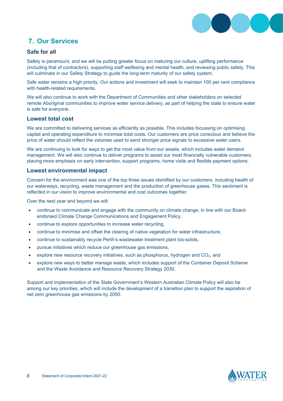

# **7. Our Services**

#### **Safe for all**

Safety is paramount, and we will be putting greater focus on maturing our culture, uplifting performance (including that of contractors), supporting staff wellbeing and mental health, and reviewing public safety. This will culminate in our Safety Strategy to guide the long-term maturity of our safety system.

Safe water remains a high priority. Our actions and investment will seek to maintain 100 per cent compliance with health-related requirements.

We will also continue to work with the Department of Communities and other stakeholders on selected remote Aboriginal communities to improve water service delivery, as part of helping the state to ensure water is safe for everyone.

#### **Lowest total cost**

We are committed to delivering services as efficiently as possible. This includes focussing on optimising capital and operating expenditure to minimise total costs. Our customers are price conscious and believe the price of water should reflect the volumes used to send stronger price signals to excessive water users.

We are continuing to look for ways to get the most value from our assets, which includes water demand management. We will also continue to deliver programs to assist our most financially vulnerable customers, placing more emphasis on early intervention, support programs, home visits and flexible payment options.

#### **Lowest environmental impact**

Concern for the environment was one of the top three issues identified by our customers, including health of our waterways, recycling, waste management and the production of greenhouse gases. This sentiment is reflected in our vision to improve environmental and cost outcomes together.

Over the next year and beyond we will:

- continue to communicate and engage with the community on climate change, in line with our Boardendorsed Climate Change Communications and Engagement Policy,
- continue to explore opportunities to increase water recycling,
- continue to minimise and offset the clearing of native vegetation for water infrastructure,
- continue to sustainably recycle Perth's wastewater treatment plant bio-solids,
- pursue initiatives which reduce our greenhouse gas emissions,
- explore new resource recovery initiatives, such as phosphorus, hydrogen and  $CO<sub>2</sub>$ , and
- explore new ways to better manage waste, which includes support of the Container Deposit Scheme and the Waste Avoidance and Resource Recovery Strategy 2030.

Support and implementation of the State Government's Western Australian Climate Policy will also be among our key priorities, which will include the development of a transition plan to support the aspiration of net zero greenhouse gas emissions by 2050.

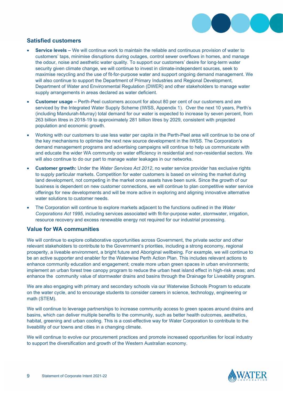

#### **Satisfied customers**

- **Service levels –** We will continue work to maintain the reliable and continuous provision of water to customers' taps, minimise disruptions during outages, control sewer overflows in homes, and manage the odour, noise and aesthetic water quality. To support our customers' desire for long-term water security given climate change, we will continue to invest in climate-independent sources, seek to maximise recycling and the use of fit-for-purpose water and support ongoing demand management. We will also continue to support the Department of Primary Industries and Regional Development, Department of Water and Environmental Regulation (DWER) and other stakeholders to manage water supply arrangements in areas declared as water deficient.
- **Customer usage –** Perth-Peel customers account for about 80 per cent of our customers and are serviced by the Integrated Water Supply Scheme (IWSS, Appendix 1). Over the next 10 years, Perth's (including Mandurah-Murray) total demand for our water is expected to increase by seven percent, from 263 billion litres in 2018-19 to approximately 281 billion litres by 2029, consistent with projected population and economic growth.
- Working with our customers to use less water per capita in the Perth-Peel area will continue to be one of the key mechanisms to optimise the next new source development in the IWSS. The Corporation's demand management programs and advertising campaigns will continue to help us communicate with and educate the wider WA community on water efficiency in residential and non-residential sectors. We will also continue to do our part to manage water leakages in our networks.
- **Customer growth:** Under the *Water Services Act 2012*, no water service provider has exclusive rights to supply particular markets. Competition for water customers is based on winning the market during land development, not competing in the market once assets have been sunk. Since the growth of our business is dependent on new customer connections, we will continue to plan competitive water service offerings for new developments and will be more active in exploring and aligning innovative alternative water solutions to customer needs.
- The Corporation will continue to explore markets adjacent to the functions outlined in the *Water Corporations Act 1995*, including services associated with fit-for-purpose water, stormwater, irrigation, resource recovery and excess renewable energy not required for our industrial processing.

#### **Value for WA communities**

We will continue to explore collaborative opportunities across Government, the private sector and other relevant stakeholders to contribute to the Government's priorities, including a strong economy, regional prosperity, a liveable environment, a bright future and Aboriginal wellbeing. For example, we will continue to be an active supporter and enabler for the Waterwise Perth Action Plan. This includes relevant actions to enhance community education and engagement; create more urban green spaces in urban environments; implement an urban forest tree canopy program to reduce the urban heat island effect in high-risk areas; and enhance the community value of stormwater drains and basins through the Drainage for Liveability program.

We are also engaging with primary and secondary schools via our Waterwise Schools Program to educate on the water cycle, and to encourage students to consider careers in science, technology, engineering or math (STEM).

We will continue to leverage partnerships to increase community access to green spaces around drains and basins, which can deliver multiple benefits to the community, such as better health outcomes, aesthetics, habitat, greening and urban cooling. This is a cost-effective way for Water Corporation to contribute to the liveability of our towns and cities in a changing climate.

We will continue to evolve our procurement practices and promote increased opportunities for local industry to support the diversification and growth of the Western Australian economy.

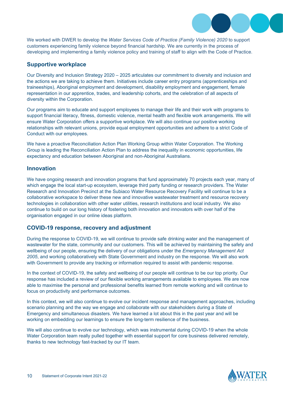

We worked with DWER to develop the *Water Services Code of Practice (Family Violence) 2020* to support customers experiencing family violence beyond financial hardship. We are currently in the process of developing and implementing a family violence policy and training of staff to align with the Code of Practice.

#### **Supportive workplace**

Our Diversity and Inclusion Strategy 2020 – 2025 articulates our commitment to diversity and inclusion and the actions we are taking to achieve them. Initiatives include career entry programs (apprenticeships and traineeships), Aboriginal employment and development, disability employment and engagement, female representation in our apprentice, trades, and leadership cohorts, and the celebration of all aspects of diversity within the Corporation.

Our programs aim to educate and support employees to manage their life and their work with programs to support financial literacy, fitness, domestic violence, mental health and flexible work arrangements. We will ensure Water Corporation offers a supportive workplace. We will also continue our positive working relationships with relevant unions, provide equal employment opportunities and adhere to a strict Code of Conduct with our employees.

We have a proactive Reconciliation Action Plan Working Group within Water Corporation. The Working Group is leading the Reconciliation Action Plan to address the inequality in economic opportunities, life expectancy and education between Aboriginal and non-Aboriginal Australians.

#### **Innovation**

We have ongoing research and innovation programs that fund approximately 70 projects each year, many of which engage the local start-up ecosystem, leverage third party funding or research providers. The Water Research and Innovation Precinct at the Subiaco Water Resource Recovery Facility will continue to be a collaborative workspace to deliver these new and innovative wastewater treatment and resource recovery technologies in collaboration with other water utilities, research institutions and local industry. We also continue to build on our long history of fostering both innovation and innovators with over half of the organisation engaged in our online ideas platform.

#### **COVID-19 response, recovery and adjustment**

During the response to COVID-19, we will continue to provide safe drinking water and the management of wastewater for the state, community and our customers. This will be achieved by maintaining the safety and wellbeing of our people, ensuring the delivery of our obligations under the *Emergency Management Act 2005*, and working collaboratively with State Government and industry on the response. We will also work with Government to provide any tracking or information required to assist with pandemic response.

In the context of COVID-19, the safety and wellbeing of our people will continue to be our top priority. Our response has included a review of our flexible working arrangements available to employees. We are now able to maximise the personal and professional benefits learned from remote working and will continue to focus on productivity and performance outcomes.

In this context, we will also continue to evolve our incident response and management approaches, including scenario planning and the way we engage and collaborate with our stakeholders during a State of Emergency and simultaneous disasters. We have learned a lot about this in the past year and will be working on embedding our learnings to ensure the long-term resilience of the business.

We will also continue to evolve our technology, which was instrumental during COVID-19 when the whole Water Corporation team really pulled together with essential support for core business delivered remotely, thanks to new technology fast-tracked by our IT team.

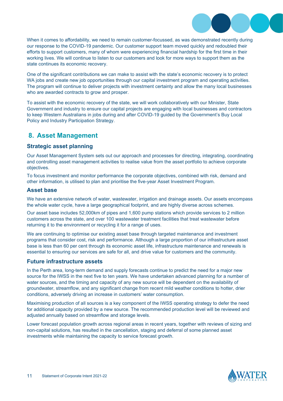

When it comes to affordability, we need to remain customer-focussed, as was demonstrated recently during our response to the COVID-19 pandemic. Our customer support team moved quickly and redoubled their efforts to support customers, many of whom were experiencing financial hardship for the first time in their working lives. We will continue to listen to our customers and look for more ways to support them as the state continues its economic recovery.

One of the significant contributions we can make to assist with the state's economic recovery is to protect WA jobs and create new job opportunities through our capital investment program and operating activities. The program will continue to deliver projects with investment certainty and allow the many local businesses who are awarded contracts to grow and prosper.

To assist with the economic recovery of the state, we will work collaboratively with our Minister, State Government and industry to ensure our capital projects are engaging with local businesses and contractors to keep Western Australians in jobs during and after COVID-19 guided by the Government's Buy Local Policy and Industry Participation Strategy.

## **8. Asset Management**

#### **Strategic asset planning**

Our Asset Management System sets out our approach and processes for directing, integrating, coordinating and controlling asset management activities to realise value from the asset portfolio to achieve corporate objectives.

To focus investment and monitor performance the corporate objectives, combined with risk, demand and other information, is utilised to plan and prioritise the five-year Asset Investment Program.

#### **Asset base**

We have an extensive network of water, wastewater, irrigation and drainage assets. Our assets encompass the whole water cycle, have a large geographical footprint, and are highly diverse across schemes.

Our asset base includes 52,000km of pipes and 1,600 pump stations which provide services to 2 million customers across the state, and over 100 wastewater treatment facilities that treat wastewater before returning it to the environment or recycling it for a range of uses.

We are continuing to optimise our existing asset base through targeted maintenance and investment programs that consider cost, risk and performance. Although a large proportion of our infrastructure asset base is less than 60 per cent through its economic asset life, infrastructure maintenance and renewals is essential to ensuring our services are safe for all, and drive value for customers and the community.

#### **Future infrastructure assets**

In the Perth area, long-term demand and supply forecasts continue to predict the need for a major new source for the IWSS in the next five to ten years. We have undertaken advanced planning for a number of water sources, and the timing and capacity of any new source will be dependent on the availability of groundwater, streamflow, and any significant change from recent mild weather conditions to hotter, drier conditions, adversely driving an increase in customers' water consumption.

Maximising production of all sources is a key component of the IWSS operating strategy to defer the need for additional capacity provided by a new source. The recommended production level will be reviewed and adjusted annually based on streamflow and storage levels.

Lower forecast population growth across regional areas in recent years, together with reviews of sizing and non-capital solutions, has resulted in the cancellation, staging and deferral of some planned asset investments while maintaining the capacity to service forecast growth.

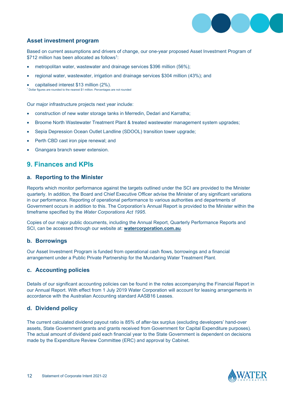

#### **Asset investment program**

Based on current assumptions and drivers of change, our one-year proposed Asset Investment Program of \$712 million has been allocated as follows<sup>1</sup>:

- metropolitan water, wastewater and drainage services \$396 million (56%);
- regional water, wastewater, irrigation and drainage services \$304 million (43%); and

• capitalised interest \$13 million (2%). <sup>1</sup> Dollar figures are rounded to the nearest \$1 million. Percentages are not rounded

Our major infrastructure projects next year include:

- construction of new water storage tanks in Merredin, Dedari and Karratha;
- Broome North Wastewater Treatment Plant & treated wastewater management system upgrades;
- Sepia Depression Ocean Outlet Landline (SDOOL) transition tower upgrade;
- Perth CBD cast iron pipe renewal; and
- Gnangara branch sewer extension.

## **9. Finances and KPIs**

#### **a. Reporting to the Minister**

Reports which monitor performance against the targets outlined under the SCI are provided to the Minister quarterly. In addition, the Board and Chief Executive Officer advise the Minister of any significant variations in our performance. Reporting of operational performance to various authorities and departments of Government occurs in addition to this. The Corporation's Annual Report is provided to the Minister within the timeframe specified by the *Water Corporations Act 1995*.

Copies of our major public documents, including the Annual Report, Quarterly Performance Reports and SCI, can be accessed through our website at: **watercorporation.com.au**.

#### **b. Borrowings**

Our Asset Investment Program is funded from operational cash flows, borrowings and a financial arrangement under a Public Private Partnership for the Mundaring Water Treatment Plant.

#### **c. Accounting policies**

Details of our significant accounting policies can be found in the notes accompanying the Financial Report in our Annual Report. With effect from 1 July 2019 Water Corporation will account for leasing arrangements in accordance with the Australian Accounting standard AASB16 Leases.

#### **d. Dividend policy**

The current calculated dividend payout ratio is 85% of after-tax surplus (excluding developers' hand-over assets, State Government grants and grants received from Government for Capital Expenditure purposes). The actual amount of dividend paid each financial year to the State Government is dependent on decisions made by the Expenditure Review Committee (ERC) and approval by Cabinet.

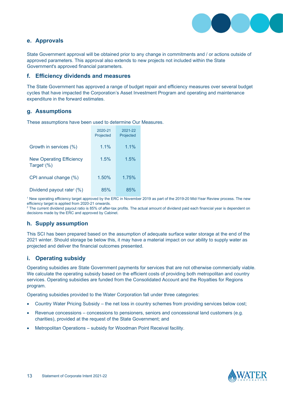

#### **e. Approvals**

State Government approval will be obtained prior to any change in commitments and / or actions outside of approved parameters. This approval also extends to new projects not included within the State Government's approved financial parameters.

#### **f. Efficiency dividends and measures**

The State Government has approved a range of budget repair and efficiency measures over several budget cycles that have impacted the Corporation's Asset Investment Program and operating and maintenance expenditure in the forward estimates.

#### **g. Assumptions**

These assumptions have been used to determine Our Measures.

|                                                              | 2020-21<br>Projected | 2021-22<br>Projected |
|--------------------------------------------------------------|----------------------|----------------------|
| Growth in services (%)                                       | 1.1%                 | 1.1%                 |
| <b>New Operating Efficiency</b><br>Target <sup>1</sup> $(%)$ | 1.5%                 | 1.5%                 |
| CPI annual change (%)                                        | 1.50%                | 1.75%                |
| Dividend payout rate <sup>2</sup> $(\%)$                     | 85%                  | 85%                  |

<sup>1</sup> New operating efficiency target approved by the ERC in November 2019 as part of the 2019-20 Mid-Year Review process. The new<br>efficiency target is applied from 2020-21 onwards.

 $2$  The current dividend payout ratio is 85% of after-tax profits. The actual amount of dividend paid each financial year is dependent on decisions made by the ERC and approved by Cabinet.

#### **h. Supply assumption**

This SCI has been prepared based on the assumption of adequate surface water storage at the end of the 2021 winter. Should storage be below this, it may have a material impact on our ability to supply water as projected and deliver the financial outcomes presented.

#### **i. Operating subsidy**

Operating subsidies are State Government payments for services that are not otherwise commercially viable. We calculate the operating subsidy based on the efficient costs of providing both metropolitan and country services. Operating subsidies are funded from the Consolidated Account and the Royalties for Regions program.

Operating subsidies provided to the Water Corporation fall under three categories:

- Country Water Pricing Subsidy the net loss in country schemes from providing services below cost;
- Revenue concessions concessions to pensioners, seniors and concessional land customers (e.g. charities), provided at the request of the State Government; and
- Metropolitan Operations subsidy for Woodman Point Receival facility.

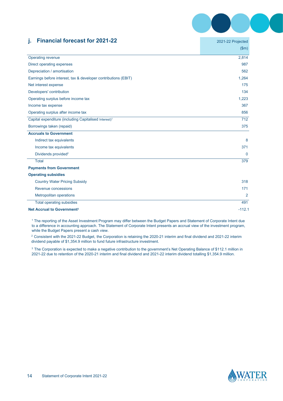

### **j. Financial forecast for 2021-22** 2021-22 Projected

|                                                                   | 2021221100000 |
|-------------------------------------------------------------------|---------------|
|                                                                   | \$m\$         |
| Operating revenue                                                 | 2,814         |
| Direct operating expenses                                         | 987           |
| Depreciation / amortisation                                       | 562           |
| Earnings before interest, tax & developer contributions (EBIT)    | 1,264         |
| Net interest expense                                              | 175           |
| Developers' contribution                                          | 134           |
| Operating surplus before income tax                               | 1,223         |
| Income tax expense                                                | 367           |
| Operating surplus after income tax                                | 856           |
| Capital expenditure (including Capitalised Interest) <sup>1</sup> | 712           |
| Borrowings taken (repaid)                                         | 375           |
| <b>Accruals to Government</b>                                     |               |
| Indirect tax equivalents                                          | 8             |
| Income tax equivalents                                            | 371           |
| Dividends provided <sup>2</sup>                                   | $\mathbf{0}$  |
| <b>Total</b>                                                      | 379           |
| <b>Payments from Government</b>                                   |               |
| <b>Operating subsidies</b>                                        |               |
| <b>Country Water Pricing Subsidy</b>                              | 318           |
| Revenue concessions                                               | 171           |
| <b>Metropolitan operations</b>                                    | 2             |
| Total operating subsidies                                         | 491           |
| <b>Net Accrual to Government<sup>3</sup></b>                      | $-112.1$      |

<sup>1</sup> The reporting of the Asset Investment Program may differ between the Budget Papers and Statement of Corporate Intent due to a difference in accounting approach. The Statement of Corporate Intent presents an accrual view of the investment program, while the Budget Papers present a cash view.

<sup>2</sup> Consistent with the 2021-22 Budget, the Corporation is retaining the 2020-21 interim and final dividend and 2021-22 interim dividend payable of \$1,354.9 million to fund future infrastructure investment.

 $^3$  The Corporation is expected to make a negative contribution to the government's Net Operating Balance of \$112.1 million in 2021-22 due to retention of the 2020-21 interim and final dividend and 2021-22 interim dividend totalling \$1,354.9 million.

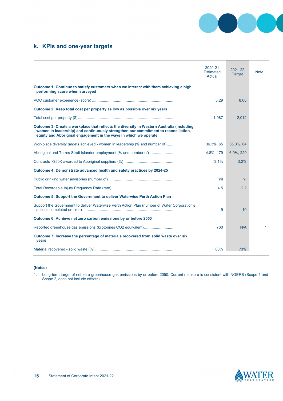

## **k. KPIs and one-year targets**

|                                                                                                                                                                                                                                                     | 2020-21<br>Estimated<br>Actual | 2021-22<br><b>Target</b> | <b>Note</b>  |
|-----------------------------------------------------------------------------------------------------------------------------------------------------------------------------------------------------------------------------------------------------|--------------------------------|--------------------------|--------------|
| Outcome 1: Continue to satisfy customers when we interact with them achieving a high<br>performing score when surveyed                                                                                                                              |                                |                          |              |
|                                                                                                                                                                                                                                                     | 8.29                           | 8.00                     |              |
| Outcome 2: Keep total cost per property as low as possible over six years                                                                                                                                                                           |                                |                          |              |
|                                                                                                                                                                                                                                                     | 1,987                          | 2,012                    |              |
| Outcome 3: Create a workplace that reflects the diversity in Western Australia (including<br>women in leadership) and continuously strengthen our commitment to reconciliation,<br>equity and Aboriginal engagement in the ways in which we operate |                                |                          |              |
| Workplace diversity targets achieved - women in leadership (% and number of)                                                                                                                                                                        | 36.3%, 65                      | 36.0%, 64                |              |
| Aboriginal and Torres Strait Islander employment (% and number of)                                                                                                                                                                                  | 4.8%, 179                      | 6.0%, 220                |              |
|                                                                                                                                                                                                                                                     | 3.1%                           | 3.2%                     |              |
| Outcome 4: Demonstrate advanced health and safety practices by 2024-25                                                                                                                                                                              |                                |                          |              |
|                                                                                                                                                                                                                                                     | nil                            | nil                      |              |
|                                                                                                                                                                                                                                                     | 4.5                            | 2.2                      |              |
| Outcome 5: Support the Government to deliver Waterwise Perth Action Plan                                                                                                                                                                            |                                |                          |              |
| Support the Government to deliver Waterwise Perth Action Plan (number of Water Corporation's                                                                                                                                                        | 9                              | 10                       |              |
| Outcome 6: Achieve net zero carbon emissions by or before 2050                                                                                                                                                                                      |                                |                          |              |
| Reported greenhouse gas emissions (kilotonnes CO2 equivalent)                                                                                                                                                                                       | 760                            | N/A                      | $\mathbf{1}$ |
| Outcome 7: Increase the percentage of materials recovered from solid waste over six<br>years                                                                                                                                                        |                                |                          |              |
|                                                                                                                                                                                                                                                     | 80%                            | 73%                      |              |

#### **(Notes)**

1. Long-term target of net zero greenhouse gas emissions by or before 2050. Current measure is consistent with NGERS (Scope 1 and Scope 2, does not include offsets).